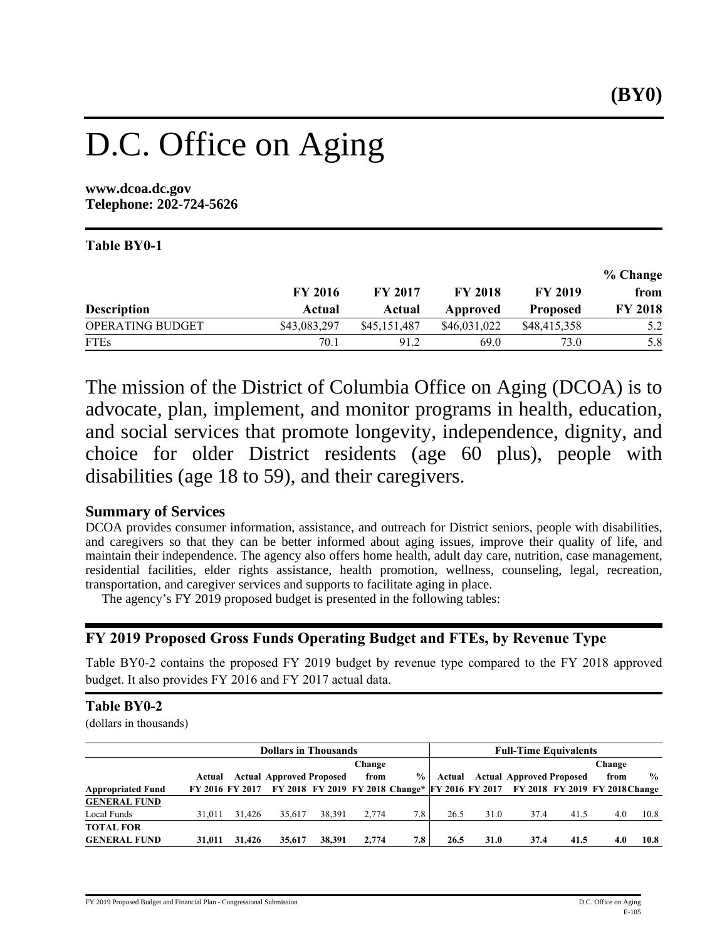# D.C. Office on Aging

**www.dcoa.dc.gov Telephone: 202-724-5626**

# Table BY0-1

|                    |                |                |                |                 | % Change       |  |
|--------------------|----------------|----------------|----------------|-----------------|----------------|--|
|                    | <b>FY 2016</b> | <b>FY 2017</b> | <b>FY 2018</b> | <b>FY 2019</b>  | from           |  |
| <b>Description</b> | Actual         | Actual         | Approved       | <b>Proposed</b> | <b>FY 2018</b> |  |
| OPERATING BUDGET   | \$43,083,297   | \$45,151,487   | \$46,031,022   | \$48,415,358    | 5.2            |  |
| <b>FTEs</b>        | 70.1           | 91.2           | 69.0           | 73.0            | 5.8            |  |

The mission of the District of Columbia Office on Aging (DCOA) is to advocate, plan, implement, and monitor programs in health, education, and social services that promote longevity, independence, dignity, and choice for older District residents (age 60 plus), people with disabilities (age 18 to 59), and their caregivers.

## **Summary of Services**

DCOA provides consumer information, assistance, and outreach for District seniors, people with disabilities, and caregivers so that they can be better informed about aging issues, improve their quality of life, and maintain their independence. The agency also offers home health, adult day care, nutrition, case management, residential facilities, elder rights assistance, health promotion, wellness, counseling, legal, recreation, transportation, and caregiver services and supports to facilitate aging in place.

The agency's FY 2019 proposed budget is presented in the following tables:

# FY 2019 Proposed Gross Funds Operating Budget and FTEs, by Revenue Type

Table BY0-2 contains the proposed FY 2019 budget by revenue type compared to the FY 2018 approved budget. It also provides FY 2016 and FY 2017 actual data.

## Table BY0-2

(dollars in thousands)

|                          | <b>Dollars in Thousands</b> |        |                                 |        |        | <b>Full-Time Equivalents</b> |        |             |                                                                                |      |        |               |
|--------------------------|-----------------------------|--------|---------------------------------|--------|--------|------------------------------|--------|-------------|--------------------------------------------------------------------------------|------|--------|---------------|
|                          |                             |        |                                 |        | Change |                              |        |             |                                                                                |      | Change |               |
|                          | Actual                      |        | <b>Actual Approved Proposed</b> |        | from   | $\frac{0}{0}$                | Actual |             | <b>Actual Approved Proposed</b>                                                |      | from   | $\frac{0}{0}$ |
| <b>Appropriated Fund</b> | FY 2016 FY 2017             |        |                                 |        |        |                              |        |             | FY 2018 FY 2019 FY 2018 Change* FY 2016 FY 2017 FY 2018 FY 2019 FY 2018 Change |      |        |               |
| <b>GENERAL FUND</b>      |                             |        |                                 |        |        |                              |        |             |                                                                                |      |        |               |
| Local Funds              | 31.011                      | 31.426 | 35.617                          | 38.391 | 2.774  | 7.8                          | 26.5   | 31.0        | 37.4                                                                           | 41.5 | 4.0    | 10.8          |
| <b>TOTAL FOR</b>         |                             |        |                                 |        |        |                              |        |             |                                                                                |      |        |               |
| <b>GENERAL FUND</b>      | 31,011                      | 31.426 | 35,617                          | 38.391 | 2.774  | 7.8                          | 26.5   | <b>31.0</b> | 37.4                                                                           | 41.5 | 4.0    | 10.8          |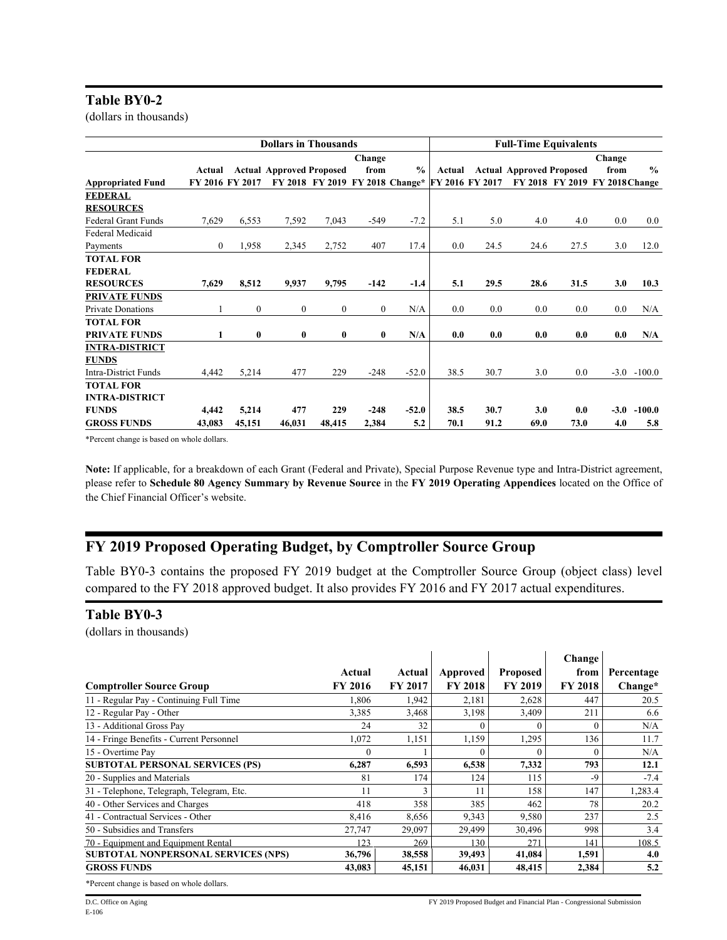## Table BY0-2

(dollars in thousands)

|                             |                 |              | <b>Dollars in Thousands</b>     |                                 |              |               |                 |      | <b>Full-Time Equivalents</b>    |                                |        |               |
|-----------------------------|-----------------|--------------|---------------------------------|---------------------------------|--------------|---------------|-----------------|------|---------------------------------|--------------------------------|--------|---------------|
|                             |                 |              |                                 |                                 | Change       |               |                 |      |                                 |                                | Change |               |
|                             | Actual          |              | <b>Actual Approved Proposed</b> |                                 | from         | $\frac{0}{0}$ | Actual          |      | <b>Actual Approved Proposed</b> |                                | from   | $\frac{0}{0}$ |
| <b>Appropriated Fund</b>    | FY 2016 FY 2017 |              |                                 | FY 2018 FY 2019 FY 2018 Change* |              |               | FY 2016 FY 2017 |      |                                 | FY 2018 FY 2019 FY 2018 Change |        |               |
| <b>FEDERAL</b>              |                 |              |                                 |                                 |              |               |                 |      |                                 |                                |        |               |
| <b>RESOURCES</b>            |                 |              |                                 |                                 |              |               |                 |      |                                 |                                |        |               |
| <b>Federal Grant Funds</b>  | 7,629           | 6,553        | 7,592                           | 7,043                           | $-549$       | $-7.2$        | 5.1             | 5.0  | 4.0                             | 4.0                            | 0.0    | $0.0\,$       |
| Federal Medicaid            |                 |              |                                 |                                 |              |               |                 |      |                                 |                                |        |               |
| Payments                    | $\mathbf{0}$    | 1,958        | 2,345                           | 2,752                           | 407          | 17.4          | 0.0             | 24.5 | 24.6                            | 27.5                           | 3.0    | 12.0          |
| <b>TOTAL FOR</b>            |                 |              |                                 |                                 |              |               |                 |      |                                 |                                |        |               |
| <b>FEDERAL</b>              |                 |              |                                 |                                 |              |               |                 |      |                                 |                                |        |               |
| <b>RESOURCES</b>            | 7,629           | 8,512        | 9,937                           | 9,795                           | $-142$       | $-1.4$        | 5.1             | 29.5 | 28.6                            | 31.5                           | 3.0    | 10.3          |
| <b>PRIVATE FUNDS</b>        |                 |              |                                 |                                 |              |               |                 |      |                                 |                                |        |               |
| <b>Private Donations</b>    |                 | $\mathbf{0}$ | $\mathbf{0}$                    | $\theta$                        | $\mathbf{0}$ | N/A           | 0.0             | 0.0  | 0.0                             | 0.0                            | 0.0    | N/A           |
| <b>TOTAL FOR</b>            |                 |              |                                 |                                 |              |               |                 |      |                                 |                                |        |               |
| <b>PRIVATE FUNDS</b>        | 1               | $\bf{0}$     | $\bf{0}$                        | $\bf{0}$                        | $\bf{0}$     | N/A           | 0.0             | 0.0  | 0.0                             | 0.0                            | 0.0    | N/A           |
| <b>INTRA-DISTRICT</b>       |                 |              |                                 |                                 |              |               |                 |      |                                 |                                |        |               |
| <b>FUNDS</b>                |                 |              |                                 |                                 |              |               |                 |      |                                 |                                |        |               |
| <b>Intra-District Funds</b> | 4,442           | 5,214        | 477                             | 229                             | $-248$       | $-52.0$       | 38.5            | 30.7 | 3.0                             | 0.0                            | $-3.0$ | $-100.0$      |
| <b>TOTAL FOR</b>            |                 |              |                                 |                                 |              |               |                 |      |                                 |                                |        |               |
| <b>INTRA-DISTRICT</b>       |                 |              |                                 |                                 |              |               |                 |      |                                 |                                |        |               |
| <b>FUNDS</b>                | 4,442           | 5,214        | 477                             | 229                             | $-248$       | $-52.0$       | 38.5            | 30.7 | 3.0                             | 0.0                            | $-3.0$ | $-100.0$      |
| <b>GROSS FUNDS</b>          | 43,083          | 45,151       | 46,031                          | 48,415                          | 2,384        | 5.2           | 70.1            | 91.2 | 69.0                            | 73.0                           | 4.0    | 5.8           |

\*Percent change is based on whole dollars.

Note: If applicable, for a breakdown of each Grant (Federal and Private), Special Purpose Revenue type and Intra-District agreement, please refer to Schedule 80 Agency Summary by Revenue Source in the FY 2019 Operating Appendices located on the Office of the Chief Financial Officer's website.

# FY 2019 Proposed Operating Budget, by Comptroller Source Group

Table BY0-3 contains the proposed FY 2019 budget at the Comptroller Source Group (object class) level compared to the FY 2018 approved budget. It also provides FY 2016 and FY 2017 actual expenditures.

#### Table BY0-3

(dollars in thousands)

|                                            |                |                |                |                 | Change         |            |
|--------------------------------------------|----------------|----------------|----------------|-----------------|----------------|------------|
|                                            | Actual         | Actual         | Approved       | <b>Proposed</b> | from           | Percentage |
| <b>Comptroller Source Group</b>            | <b>FY 2016</b> | <b>FY 2017</b> | <b>FY 2018</b> | <b>FY 2019</b>  | <b>FY 2018</b> | Change*    |
| 11 - Regular Pay - Continuing Full Time    | 1,806          | 1,942          | 2,181          | 2,628           | 447            | 20.5       |
| 12 - Regular Pay - Other                   | 3,385          | 3,468          | 3,198          | 3,409           | 211            | 6.6        |
| 13 - Additional Gross Pay                  | 24             | 32             |                |                 | 0              | N/A        |
| 14 - Fringe Benefits - Current Personnel   | 1,072          | 1,151          | 1,159          | 1,295           | 136            | 11.7       |
| 15 - Overtime Pay                          | $\Omega$       |                |                | $\Omega$        | $\theta$       | N/A        |
| <b>SUBTOTAL PERSONAL SERVICES (PS)</b>     | 6,287          | 6,593          | 6,538          | 7,332           | 793            | 12.1       |
| 20 - Supplies and Materials                | 81             | 174            | 124            | 115             | -9             | $-7.4$     |
| 31 - Telephone, Telegraph, Telegram, Etc.  | 11             | 3              | 11             | 158             | 147            | 1,283.4    |
| 40 - Other Services and Charges            | 418            | 358            | 385            | 462             | 78             | 20.2       |
| 41 - Contractual Services - Other          | 8,416          | 8,656          | 9,343          | 9,580           | 237            | 2.5        |
| 50 - Subsidies and Transfers               | 27,747         | 29,097         | 29,499         | 30,496          | 998            | 3.4        |
| 70 - Equipment and Equipment Rental        | 123            | 269            | 130            | 271             | 141            | 108.5      |
| <b>SUBTOTAL NONPERSONAL SERVICES (NPS)</b> | 36,796         | 38,558         | 39,493         | 41,084          | 1,591          | 4.0        |
| <b>GROSS FUNDS</b>                         | 43,083         | 45,151         | 46,031         | 48,415          | 2,384          | 5.2        |

\*Percent change is based on whole dollars.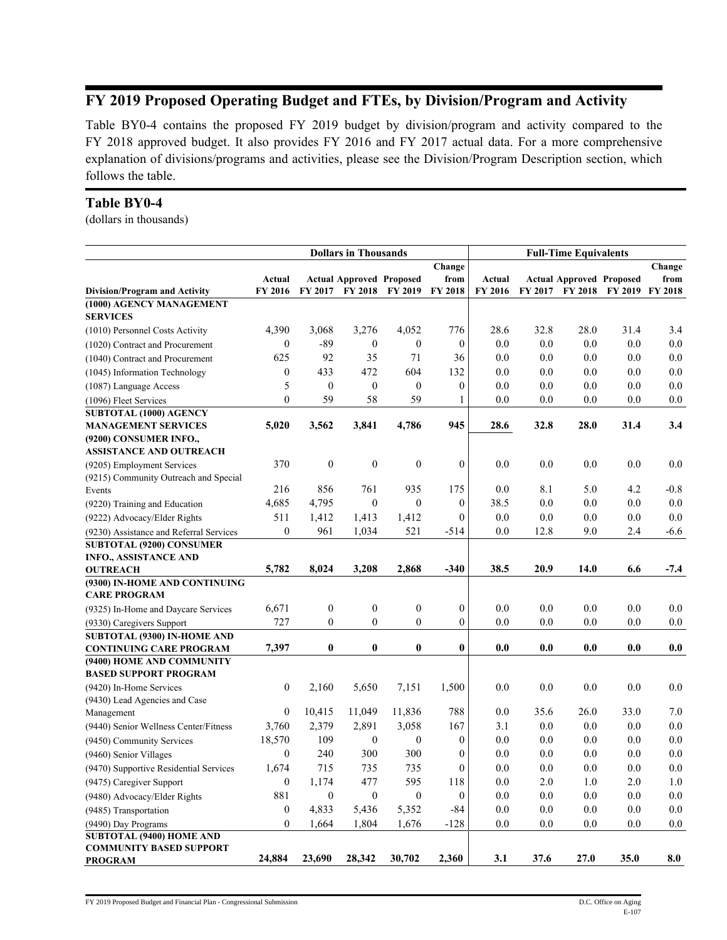# FY 2019 Proposed Operating Budget and FTEs, by Division/Program and Activity

Table BY0-4 contains the proposed FY 2019 budget by division/program and activity compared to the FY 2018 approved budget. It also provides FY 2016 and FY 2017 actual data. For a more comprehensive explanation of divisions/programs and activities, please see the Division/Program Description section, which follows the table.

## Table BY0-4

(dollars in thousands)

|                                                 | <b>Dollars in Thousands</b> |                  |                                 |                  |                  |         | <b>Full-Time Equivalents</b> |                                 |                |                |
|-------------------------------------------------|-----------------------------|------------------|---------------------------------|------------------|------------------|---------|------------------------------|---------------------------------|----------------|----------------|
|                                                 |                             |                  |                                 |                  | Change           |         |                              |                                 |                | Change         |
|                                                 | Actual                      |                  | <b>Actual Approved Proposed</b> |                  | from             | Actual  |                              | <b>Actual Approved Proposed</b> |                | from           |
| <b>Division/Program and Activity</b>            | FY 2016                     |                  | FY 2017 FY 2018 FY 2019         |                  | <b>FY 2018</b>   | FY 2016 |                              | FY 2017 FY 2018                 | <b>FY 2019</b> | <b>FY 2018</b> |
| (1000) AGENCY MANAGEMENT                        |                             |                  |                                 |                  |                  |         |                              |                                 |                |                |
| <b>SERVICES</b>                                 |                             |                  |                                 |                  |                  |         |                              |                                 |                |                |
| (1010) Personnel Costs Activity                 | 4,390                       | 3,068            | 3,276                           | 4,052            | 776              | 28.6    | 32.8                         | 28.0                            | 31.4           | 3.4            |
| (1020) Contract and Procurement                 | $\boldsymbol{0}$            | $-89$            | 0                               | $\boldsymbol{0}$ | $\boldsymbol{0}$ | 0.0     | 0.0                          | 0.0                             | 0.0            | 0.0            |
| (1040) Contract and Procurement                 | 625                         | 92               | 35                              | 71               | 36               | 0.0     | 0.0                          | 0.0                             | 0.0            | 0.0            |
| (1045) Information Technology                   | $\boldsymbol{0}$            | 433              | 472                             | 604              | 132              | 0.0     | 0.0                          | 0.0                             | 0.0            | 0.0            |
| (1087) Language Access                          | 5                           | $\boldsymbol{0}$ | $\boldsymbol{0}$                | $\boldsymbol{0}$ | 0                | 0.0     | 0.0                          | 0.0                             | 0.0            | 0.0            |
| (1096) Fleet Services                           | $\theta$                    | 59               | 58                              | 59               | 1                | 0.0     | 0.0                          | 0.0                             | 0.0            | 0.0            |
| SUBTOTAL (1000) AGENCY                          |                             |                  |                                 |                  |                  |         |                              |                                 |                |                |
| <b>MANAGEMENT SERVICES</b>                      | 5,020                       | 3,562            | 3,841                           | 4,786            | 945              | 28.6    | 32.8                         | 28.0                            | 31.4           | 3.4            |
| (9200) CONSUMER INFO.,                          |                             |                  |                                 |                  |                  |         |                              |                                 |                |                |
| <b>ASSISTANCE AND OUTREACH</b>                  |                             |                  |                                 |                  |                  |         |                              |                                 |                |                |
| (9205) Employment Services                      | 370                         | $\boldsymbol{0}$ | $\boldsymbol{0}$                | $\boldsymbol{0}$ | $\boldsymbol{0}$ | 0.0     | 0.0                          | 0.0                             | 0.0            | 0.0            |
| (9215) Community Outreach and Special           | 216                         | 856              | 761                             | 935              | 175              |         | 8.1                          | 5.0                             | 4.2            | $-0.8$         |
| Events                                          |                             |                  |                                 | $\mathbf{0}$     |                  | 0.0     |                              |                                 |                |                |
| (9220) Training and Education                   | 4,685                       | 4,795            | $\boldsymbol{0}$                |                  | 0                | 38.5    | 0.0                          | 0.0                             | 0.0            | 0.0            |
| (9222) Advocacy/Elder Rights                    | 511                         | 1,412            | 1,413                           | 1,412            | $\boldsymbol{0}$ | 0.0     | 0.0                          | 0.0                             | 0.0            | $0.0\,$        |
| (9230) Assistance and Referral Services         | $\boldsymbol{0}$            | 961              | 1,034                           | 521              | -514             | 0.0     | 12.8                         | 9.0                             | 2.4            | $-6.6$         |
| <b>SUBTOTAL (9200) CONSUMER</b>                 |                             |                  |                                 |                  |                  |         |                              |                                 |                |                |
| <b>INFO., ASSISTANCE AND</b><br><b>OUTREACH</b> | 5,782                       | 8,024            | 3,208                           | 2,868            | $-340$           | 38.5    | 20.9                         | 14.0                            | 6.6            | $-7.4$         |
| (9300) IN-HOME AND CONTINUING                   |                             |                  |                                 |                  |                  |         |                              |                                 |                |                |
| <b>CARE PROGRAM</b>                             |                             |                  |                                 |                  |                  |         |                              |                                 |                |                |
| (9325) In-Home and Daycare Services             | 6,671                       | $\boldsymbol{0}$ | 0                               | $\boldsymbol{0}$ | $\boldsymbol{0}$ | 0.0     | 0.0                          | 0.0                             | 0.0            | 0.0            |
| (9330) Caregivers Support                       | 727                         | $\boldsymbol{0}$ | $\mathbf{0}$                    | $\theta$         | $\boldsymbol{0}$ | 0.0     | 0.0                          | 0.0                             | 0.0            | 0.0            |
| SUBTOTAL (9300) IN-HOME AND                     |                             |                  |                                 |                  |                  |         |                              |                                 |                |                |
| <b>CONTINUING CARE PROGRAM</b>                  | 7,397                       | $\bf{0}$         | $\bf{0}$                        | $\bf{0}$         | $\bf{0}$         | 0.0     | 0.0                          | 0.0                             | 0.0            | 0.0            |
| (9400) HOME AND COMMUNITY                       |                             |                  |                                 |                  |                  |         |                              |                                 |                |                |
| <b>BASED SUPPORT PROGRAM</b>                    |                             |                  |                                 |                  |                  |         |                              |                                 |                |                |
| (9420) In-Home Services                         | $\boldsymbol{0}$            | 2,160            | 5,650                           | 7,151            | 1,500            | 0.0     | 0.0                          | 0.0                             | 0.0            | 0.0            |
| (9430) Lead Agencies and Case                   |                             |                  |                                 |                  |                  |         |                              |                                 |                |                |
| Management                                      | $\overline{0}$              | 10,415           | 11,049                          | 11,836           | 788              | 0.0     | 35.6                         | 26.0                            | 33.0           | 7.0            |
| (9440) Senior Wellness Center/Fitness           | 3,760                       | 2,379            | 2,891                           | 3,058            | 167              | 3.1     | 0.0                          | 0.0                             | 0.0            | 0.0            |
| (9450) Community Services                       | 18,570                      | 109              | $\boldsymbol{0}$                | $\boldsymbol{0}$ | 0                | 0.0     | 0.0                          | 0.0                             | 0.0            | 0.0            |
| (9460) Senior Villages                          | $\mathbf{0}$                | 240              | 300                             | 300              | 0                | 0.0     | 0.0                          | 0.0                             | 0.0            | 0.0            |
| (9470) Supportive Residential Services          | 1,674                       | 715              | 735                             | 735              | $\boldsymbol{0}$ | 0.0     | 0.0                          | 0.0                             | 0.0            | 0.0            |
| (9475) Caregiver Support                        | $\boldsymbol{0}$            | 1,174            | 477                             | 595              | 118              | $0.0\,$ | $2.0$                        | $1.0\,$                         | $2.0\,$        | 1.0            |
| (9480) Advocacy/Elder Rights                    | 881                         | $\boldsymbol{0}$ | $\boldsymbol{0}$                | $\boldsymbol{0}$ | $\boldsymbol{0}$ | $0.0\,$ | $0.0\,$                      | 0.0                             | $0.0\,$        | $0.0\,$        |
| (9485) Transportation                           | $\boldsymbol{0}$            | 4,833            | 5,436                           | 5,352            | $-84$            | 0.0     | $0.0\,$                      | 0.0                             | $0.0\,$        | $0.0\,$        |
| (9490) Day Programs                             | $\boldsymbol{0}$            | 1,664            | 1,804                           | 1,676            | $-128$           | 0.0     | $0.0\,$                      | 0.0                             | 0.0            | $0.0\,$        |
| <b>SUBTOTAL (9400) HOME AND</b>                 |                             |                  |                                 |                  |                  |         |                              |                                 |                |                |
| <b>COMMUNITY BASED SUPPORT</b>                  | 24,884                      | 23,690           | 28,342                          | 30,702           |                  | 3.1     |                              | 27.0                            | 35.0           |                |
| <b>PROGRAM</b>                                  |                             |                  |                                 |                  | 2,360            |         | 37.6                         |                                 |                | 8.0            |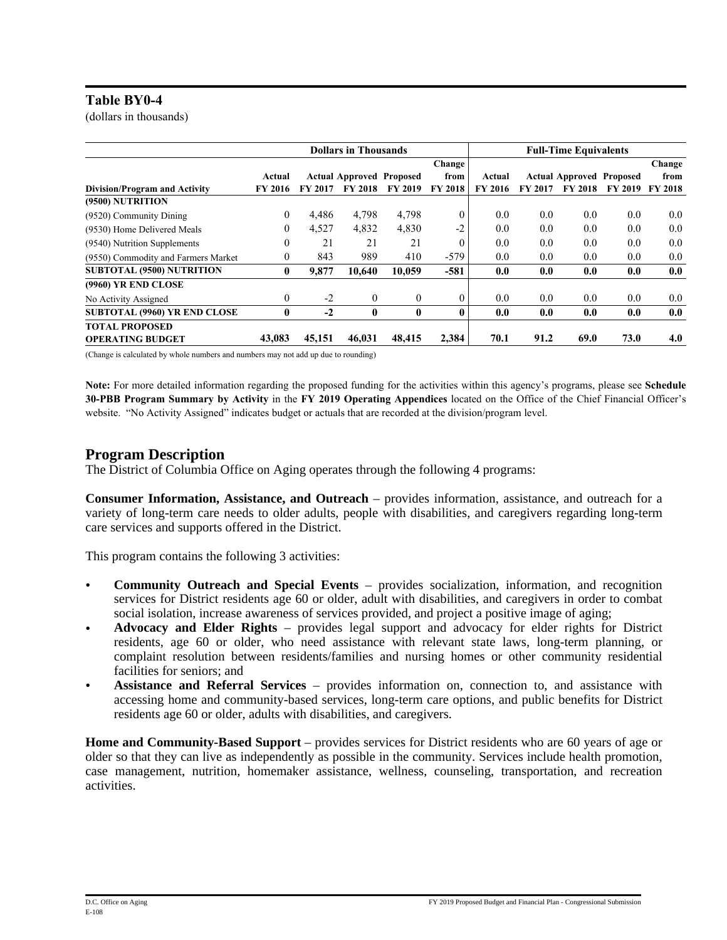## Table BY0-4

(dollars in thousands)

|                                                  |          | <b>Dollars in Thousands</b> |                                 |                |                |                | <b>Full-Time Equivalents</b> |                                 |                |                |
|--------------------------------------------------|----------|-----------------------------|---------------------------------|----------------|----------------|----------------|------------------------------|---------------------------------|----------------|----------------|
|                                                  |          |                             |                                 |                | Change         |                |                              |                                 |                | Change         |
|                                                  | Actual   |                             | <b>Actual Approved Proposed</b> |                | from           | Actual         |                              | <b>Actual Approved Proposed</b> |                | from           |
| <b>Division/Program and Activity</b>             | FY 2016  | <b>FY 2017</b>              | <b>FY 2018</b>                  | <b>FY 2019</b> | <b>FY 2018</b> | <b>FY 2016</b> | <b>FY 2017</b>               | <b>FY 2018</b>                  | <b>FY 2019</b> | <b>FY 2018</b> |
| (9500) NUTRITION                                 |          |                             |                                 |                |                |                |                              |                                 |                |                |
| (9520) Community Dining                          | 0        | 4,486                       | 4,798                           | 4,798          | $\theta$       | 0.0            | 0.0                          | 0.0                             | 0.0            | 0.0            |
| (9530) Home Delivered Meals                      | 0        | 4,527                       | 4,832                           | 4,830          | $-2$           | 0.0            | 0.0                          | 0.0                             | 0.0            | 0.0            |
| (9540) Nutrition Supplements                     | $\theta$ | 21                          | 21                              | 21             | $\theta$       | 0.0            | 0.0                          | 0.0                             | 0.0            | 0.0            |
| (9550) Commodity and Farmers Market              | 0        | 843                         | 989                             | 410            | $-579$         | 0.0            | 0.0                          | 0.0                             | 0.0            | $0.0\,$        |
| <b>SUBTOTAL (9500) NUTRITION</b>                 | 0        | 9,877                       | 10.640                          | 10.059         | $-581$         | 0.0            | 0.0                          | 0.0                             | 0.0            | 0.0            |
| (9960) YR END CLOSE                              |          |                             |                                 |                |                |                |                              |                                 |                |                |
| No Activity Assigned                             | 0        | $-2$                        | $\mathbf{0}$                    | $\theta$       | $\theta$       | 0.0            | 0.0                          | 0.0                             | 0.0            | $0.0\,$        |
| <b>SUBTOTAL (9960) YR END CLOSE</b>              | 0        | $-2$                        | $\mathbf{0}$                    | $\mathbf{0}$   | $\mathbf{0}$   | 0.0            | 0.0                          | 0.0                             | 0.0            | 0.0            |
| <b>TOTAL PROPOSED</b><br><b>OPERATING BUDGET</b> | 43,083   | 45,151                      | 46,031                          | 48,415         | 2.384          | 70.1           | 91.2                         | 69.0                            | 73.0           | 4.0            |

(Change is calculated by whole numbers and numbers may not add up due to rounding)

Note: For more detailed information regarding the proposed funding for the activities within this agency's programs, please see Schedule 30-PBB Program Summary by Activity in the FY 2019 Operating Appendices located on the Office of the Chief Financial Officer's website. "No Activity Assigned" indicates budget or actuals that are recorded at the division/program level.

# **Program Description**

The District of Columbia Office on Aging operates through the following 4 programs:

**Consumer Information, Assistance, and Outreach** – provides information, assistance, and outreach for a variety of long-term care needs to older adults, people with disabilities, and caregivers regarding long-term care services and supports offered in the District.

This program contains the following 3 activities:

- **Community Outreach and Special Events** provides socialization, information, and recognition services for District residents age 60 or older, adult with disabilities, and caregivers in order to combat social isolation, increase awareness of services provided, and project a positive image of aging;
- **Advocacy and Elder Rights** provides legal support and advocacy for elder rights for District residents, age 60 or older, who need assistance with relevant state laws, long-term planning, or complaint resolution between residents/families and nursing homes or other community residential facilities for seniors; and
- **Assistance and Referral Services** provides information on, connection to, and assistance with accessing home and community-based services, long-term care options, and public benefits for District residents age 60 or older, adults with disabilities, and caregivers.

**Home and Community-Based Support** – provides services for District residents who are 60 years of age or older so that they can live as independently as possible in the community. Services include health promotion, case management, nutrition, homemaker assistance, wellness, counseling, transportation, and recreation activities.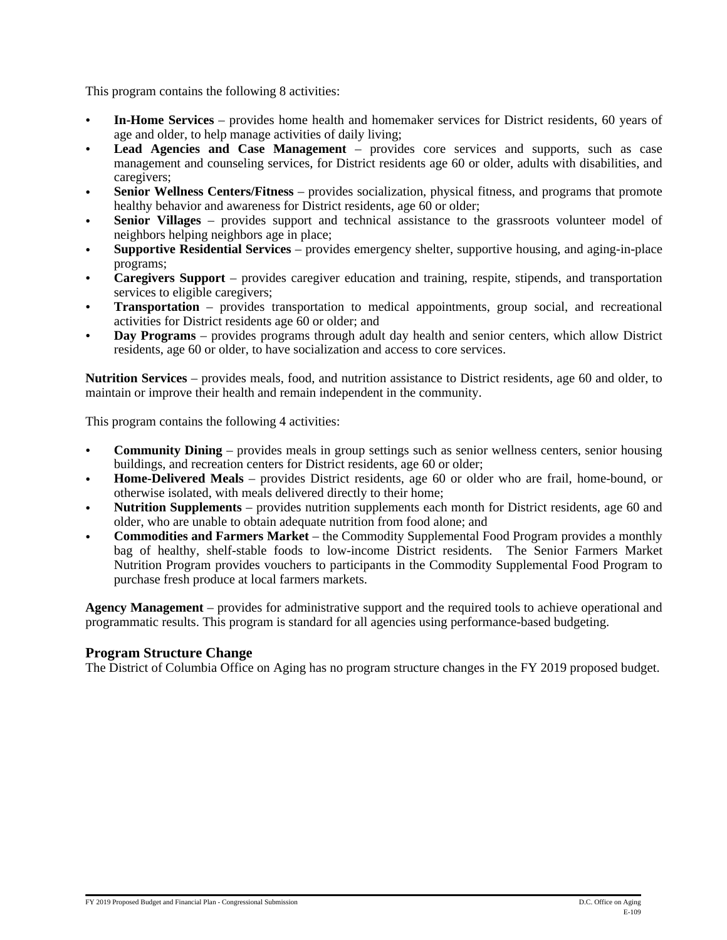This program contains the following 8 activities:

- **In-Home Services** provides home health and homemaker services for District residents, 60 years of age and older, to help manage activities of daily living;
- **Lead Agencies and Case Management** provides core services and supports, such as case management and counseling services, for District residents age 60 or older, adults with disabilities, and caregivers;
- **Senior Wellness Centers/Fitness** provides socialization, physical fitness, and programs that promote healthy behavior and awareness for District residents, age 60 or older;
- **Senior Villages** provides support and technical assistance to the grassroots volunteer model of neighbors helping neighbors age in place;
- **Supportive Residential Services** provides emergency shelter, supportive housing, and aging-in-place programs;
- **Caregivers Support** provides caregiver education and training, respite, stipends, and transportation services to eligible caregivers;
- **Transportation** provides transportation to medical appointments, group social, and recreational activities for District residents age 60 or older; and
- **Day Programs** provides programs through adult day health and senior centers, which allow District residents, age 60 or older, to have socialization and access to core services.

**Nutrition Services** – provides meals, food, and nutrition assistance to District residents, age 60 and older, to maintain or improve their health and remain independent in the community.

This program contains the following 4 activities:

- **Community Dining** provides meals in group settings such as senior wellness centers, senior housing buildings, and recreation centers for District residents, age 60 or older;
- **Home-Delivered Meals** provides District residents, age 60 or older who are frail, home-bound, or otherwise isolated, with meals delivered directly to their home;
- **Nutrition Supplements** provides nutrition supplements each month for District residents, age 60 and older, who are unable to obtain adequate nutrition from food alone; and
- **Commodities and Farmers Market** the Commodity Supplemental Food Program provides a monthly bag of healthy, shelf-stable foods to low-income District residents. The Senior Farmers Market Nutrition Program provides vouchers to participants in the Commodity Supplemental Food Program to purchase fresh produce at local farmers markets.

**Agency Management** – provides for administrative support and the required tools to achieve operational and programmatic results. This program is standard for all agencies using performance-based budgeting.

## **Program Structure Change**

The District of Columbia Office on Aging has no program structure changes in the FY 2019 proposed budget.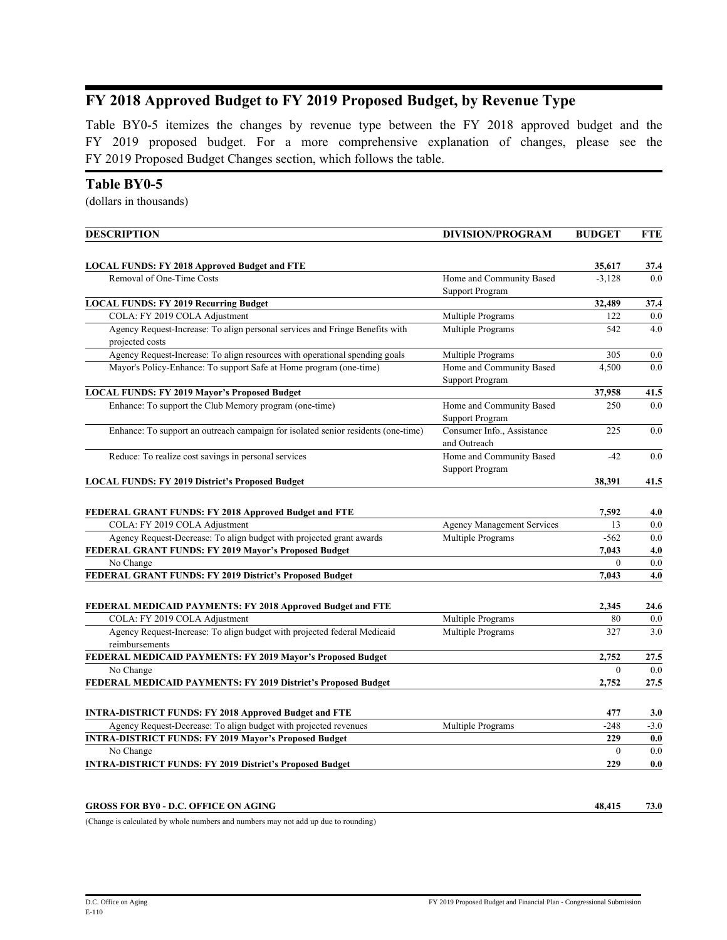# FY 2018 Approved Budget to FY 2019 Proposed Budget, by Revenue Type

Table BY0-5 itemizes the changes by revenue type between the FY 2018 approved budget and the FY 2019 proposed budget. For a more comprehensive explanation of changes, please see the FY 2019 Proposed Budget Changes section, which follows the table.

#### Table BY0-5

(dollars in thousands)

| <b>DESCRIPTION</b>                                                                              | <b>DIVISION/PROGRAM</b>                            | <b>BUDGET</b> | <b>FTE</b>       |
|-------------------------------------------------------------------------------------------------|----------------------------------------------------|---------------|------------------|
|                                                                                                 |                                                    |               |                  |
| <b>LOCAL FUNDS: FY 2018 Approved Budget and FTE</b>                                             |                                                    | 35,617        | 37.4             |
| Removal of One-Time Costs                                                                       | Home and Community Based<br><b>Support Program</b> | $-3,128$      | 0.0              |
| <b>LOCAL FUNDS: FY 2019 Recurring Budget</b>                                                    |                                                    | 32,489        | 37.4             |
| COLA: FY 2019 COLA Adjustment                                                                   | Multiple Programs                                  | 122           | 0.0              |
| Agency Request-Increase: To align personal services and Fringe Benefits with<br>projected costs | Multiple Programs                                  | 542           | 4.0              |
| Agency Request-Increase: To align resources with operational spending goals                     | Multiple Programs                                  | 305           | 0.0              |
| Mayor's Policy-Enhance: To support Safe at Home program (one-time)                              | Home and Community Based<br><b>Support Program</b> | 4.500         | 0.0              |
| <b>LOCAL FUNDS: FY 2019 Mayor's Proposed Budget</b>                                             |                                                    | 37,958        | 41.5             |
| Enhance: To support the Club Memory program (one-time)                                          | Home and Community Based<br><b>Support Program</b> | 250           | 0.0              |
| Enhance: To support an outreach campaign for isolated senior residents (one-time)               | Consumer Info., Assistance<br>and Outreach         | 225           | 0.0              |
| Reduce: To realize cost savings in personal services                                            | Home and Community Based<br><b>Support Program</b> | $-42$         | 0.0              |
| <b>LOCAL FUNDS: FY 2019 District's Proposed Budget</b>                                          |                                                    | 38,391        | 41.5             |
|                                                                                                 |                                                    |               |                  |
| FEDERAL GRANT FUNDS: FY 2018 Approved Budget and FTE                                            |                                                    | 7,592         | 4.0              |
| COLA: FY 2019 COLA Adjustment                                                                   | <b>Agency Management Services</b>                  | 13            | 0.0              |
| Agency Request-Decrease: To align budget with projected grant awards                            | Multiple Programs                                  | $-562$        | 0.0              |
| FEDERAL GRANT FUNDS: FY 2019 Mayor's Proposed Budget                                            |                                                    | 7,043         | 4.0              |
| No Change                                                                                       |                                                    | $\Omega$      | $\overline{0.0}$ |
| FEDERAL GRANT FUNDS: FY 2019 District's Proposed Budget                                         |                                                    | 7,043         | 4.0              |
|                                                                                                 |                                                    |               |                  |
| FEDERAL MEDICAID PAYMENTS: FY 2018 Approved Budget and FTE                                      |                                                    | 2,345         | 24.6             |
| COLA: FY 2019 COLA Adjustment                                                                   | Multiple Programs                                  | 80            | 0.0              |
| Agency Request-Increase: To align budget with projected federal Medicaid<br>reimbursements      | Multiple Programs                                  | 327           | 3.0              |
| FEDERAL MEDICAID PAYMENTS: FY 2019 Mayor's Proposed Budget                                      |                                                    | 2,752         | 27.5             |
| No Change                                                                                       |                                                    | $\Omega$      | 0.0              |
| FEDERAL MEDICAID PAYMENTS: FY 2019 District's Proposed Budget                                   |                                                    | 2,752         | 27.5             |
| <b>INTRA-DISTRICT FUNDS: FY 2018 Approved Budget and FTE</b>                                    |                                                    | 477           | 3.0              |
| Agency Request-Decrease: To align budget with projected revenues                                | Multiple Programs                                  | $-248$        | $-3.0$           |
| <b>INTRA-DISTRICT FUNDS: FY 2019 Mayor's Proposed Budget</b>                                    |                                                    | 229           | 0.0              |
|                                                                                                 |                                                    | $\theta$      | 0.0              |
| No Change                                                                                       |                                                    |               |                  |

#### GROSS FOR BY0 - D.C. OFFICE ON AGING 48,415 73.0

(Change is calculated by whole numbers and numbers may not add up due to rounding)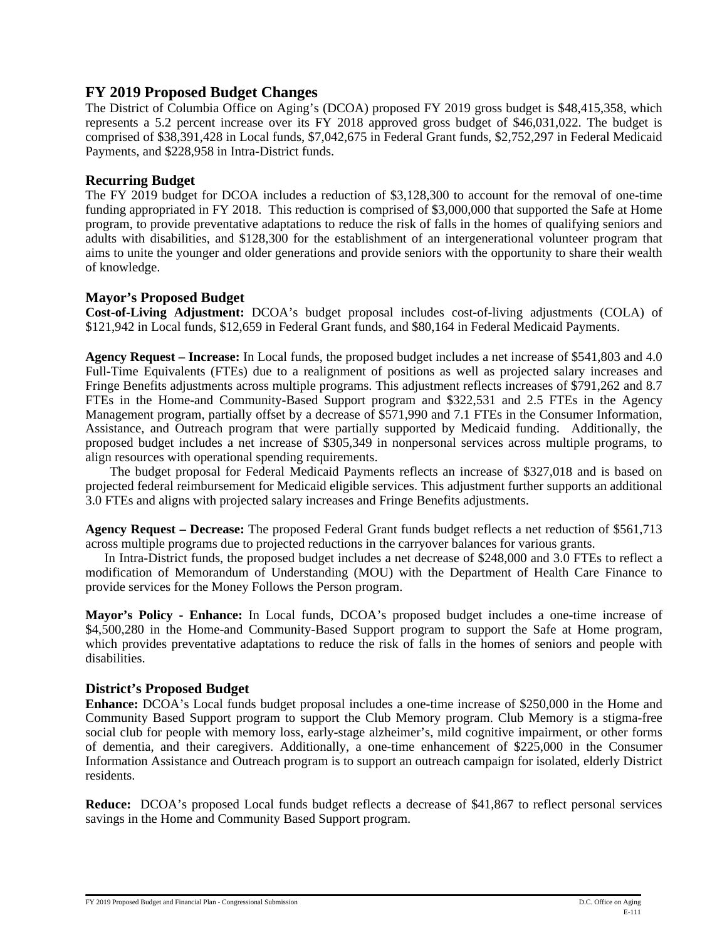# **FY 2019 Proposed Budget Changes**

The District of Columbia Office on Aging's (DCOA) proposed FY 2019 gross budget is \$48,415,358, which represents a 5.2 percent increase over its FY 2018 approved gross budget of \$46,031,022. The budget is comprised of \$38,391,428 in Local funds, \$7,042,675 in Federal Grant funds, \$2,752,297 in Federal Medicaid Payments, and \$228,958 in Intra-District funds.

## **Recurring Budget**

The FY 2019 budget for DCOA includes a reduction of \$3,128,300 to account for the removal of one-time funding appropriated in FY 2018. This reduction is comprised of \$3,000,000 that supported the Safe at Home program, to provide preventative adaptations to reduce the risk of falls in the homes of qualifying seniors and adults with disabilities, and \$128,300 for the establishment of an intergenerational volunteer program that aims to unite the younger and older generations and provide seniors with the opportunity to share their wealth of knowledge.

### **Mayor's Proposed Budget**

**Cost-of-Living Adjustment:** DCOA's budget proposal includes cost-of-living adjustments (COLA) of \$121,942 in Local funds, \$12,659 in Federal Grant funds, and \$80,164 in Federal Medicaid Payments.

**Agency Request – Increase:** In Local funds, the proposed budget includes a net increase of \$541,803 and 4.0 Full-Time Equivalents (FTEs) due to a realignment of positions as well as projected salary increases and Fringe Benefits adjustments across multiple programs. This adjustment reflects increases of \$791,262 and 8.7 FTEs in the Home-and Community-Based Support program and \$322,531 and 2.5 FTEs in the Agency Management program, partially offset by a decrease of \$571,990 and 7.1 FTEs in the Consumer Information, Assistance, and Outreach program that were partially supported by Medicaid funding. Additionally, the proposed budget includes a net increase of \$305,349 in nonpersonal services across multiple programs, to align resources with operational spending requirements.

The budget proposal for Federal Medicaid Payments reflects an increase of \$327,018 and is based on projected federal reimbursement for Medicaid eligible services. This adjustment further supports an additional 3.0 FTEs and aligns with projected salary increases and Fringe Benefits adjustments.

**Agency Request – Decrease:** The proposed Federal Grant funds budget reflects a net reduction of \$561,713 across multiple programs due to projected reductions in the carryover balances for various grants.

In Intra-District funds, the proposed budget includes a net decrease of \$248,000 and 3.0 FTEs to reflect a modification of Memorandum of Understanding (MOU) with the Department of Health Care Finance to provide services for the Money Follows the Person program.

**Mayor's Policy - Enhance:** In Local funds, DCOA's proposed budget includes a one-time increase of \$4,500,280 in the Home-and Community-Based Support program to support the Safe at Home program, which provides preventative adaptations to reduce the risk of falls in the homes of seniors and people with disabilities.

#### **District's Proposed Budget**

**Enhance:** DCOA's Local funds budget proposal includes a one-time increase of \$250,000 in the Home and Community Based Support program to support the Club Memory program. Club Memory is a stigma-free social club for people with memory loss, early-stage alzheimer's, mild cognitive impairment, or other forms of dementia, and their caregivers. Additionally, a one-time enhancement of \$225,000 in the Consumer Information Assistance and Outreach program is to support an outreach campaign for isolated, elderly District residents.

**Reduce:** DCOA's proposed Local funds budget reflects a decrease of \$41,867 to reflect personal services savings in the Home and Community Based Support program.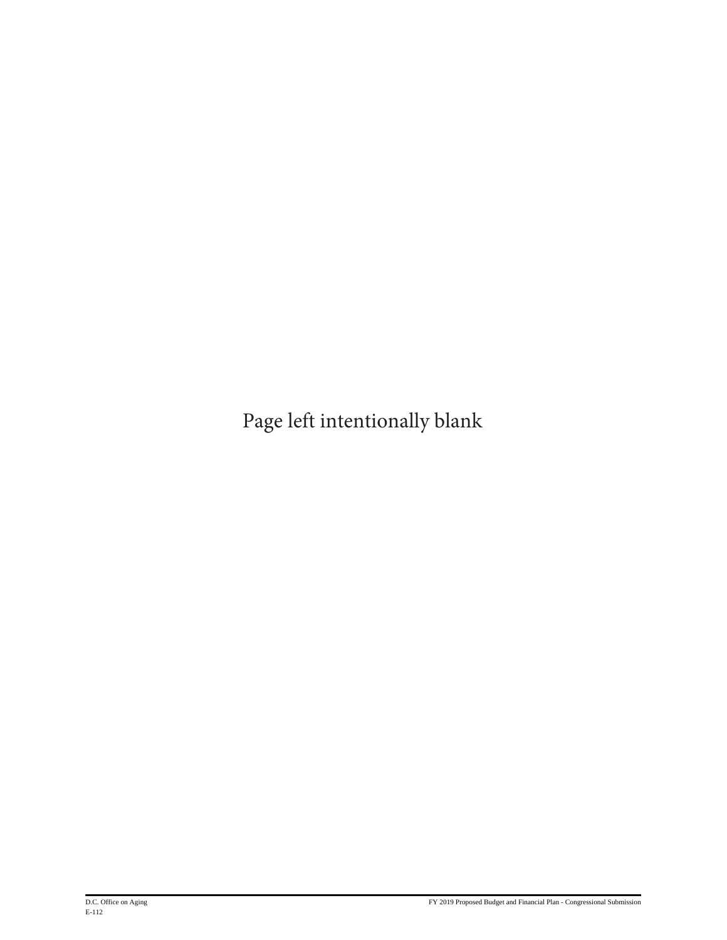Page left intentionally blank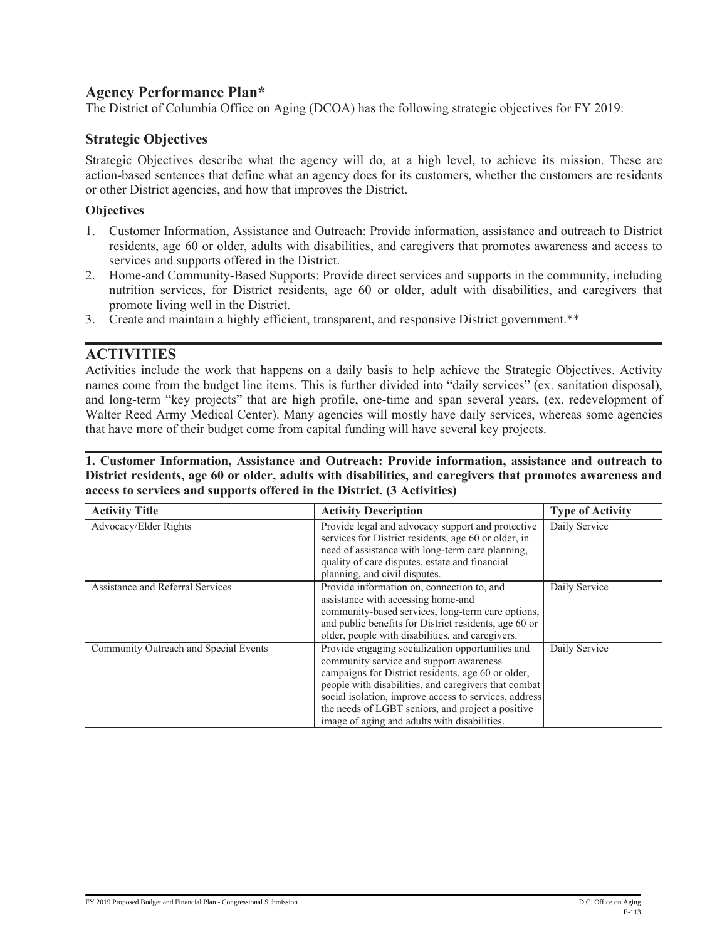# **Agency Performance Plan\***

The District of Columbia Office on Aging (DCOA) has the following strategic objectives for FY 2019:

## **Strategic Objectives**

Strategic Objectives describe what the agency will do, at a high level, to achieve its mission. These are action-based sentences that define what an agency does for its customers, whether the customers are residents or other District agencies, and how that improves the District.

#### **Objectives**

- 1. Customer Information, Assistance and Outreach: Provide information, assistance and outreach to District residents, age 60 or older, adults with disabilities, and caregivers that promotes awareness and access to services and supports offered in the District.
- 2. Home-and Community-Based Supports: Provide direct services and supports in the community, including nutrition services, for District residents, age 60 or older, adult with disabilities, and caregivers that promote living well in the District.
- 3. Create and maintain a highly efficient, transparent, and responsive District government.\*\*

# **ACTIVITIES**

Activities include the work that happens on a daily basis to help achieve the Strategic Objectives. Activity names come from the budget line items. This is further divided into "daily services" (ex. sanitation disposal), and long-term "key projects" that are high profile, one-time and span several years, (ex. redevelopment of Walter Reed Army Medical Center). Many agencies will mostly have daily services, whereas some agencies that have more of their budget come from capital funding will have several key projects.

1. Customer Information, Assistance and Outreach: Provide information, assistance and outreach to District residents, age 60 or older, adults with disabilities, and caregivers that promotes awareness and access to services and supports offered in the District. (3 Activities)

| <b>Activity Title</b>                 | <b>Activity Description</b>                                                                                                                                                                                                                                                                                                                                             | <b>Type of Activity</b> |  |  |
|---------------------------------------|-------------------------------------------------------------------------------------------------------------------------------------------------------------------------------------------------------------------------------------------------------------------------------------------------------------------------------------------------------------------------|-------------------------|--|--|
| Advocacy/Elder Rights                 | Provide legal and advocacy support and protective<br>services for District residents, age 60 or older, in<br>need of assistance with long-term care planning,<br>quality of care disputes, estate and financial<br>planning, and civil disputes.                                                                                                                        | Daily Service           |  |  |
| Assistance and Referral Services      | Provide information on, connection to, and<br>assistance with accessing home-and<br>community-based services, long-term care options,<br>and public benefits for District residents, age 60 or<br>older, people with disabilities, and caregivers.                                                                                                                      | Daily Service           |  |  |
| Community Outreach and Special Events | Provide engaging socialization opportunities and<br>community service and support awareness<br>campaigns for District residents, age 60 or older,<br>people with disabilities, and caregivers that combat<br>social isolation, improve access to services, address<br>the needs of LGBT seniors, and project a positive<br>image of aging and adults with disabilities. | Daily Service           |  |  |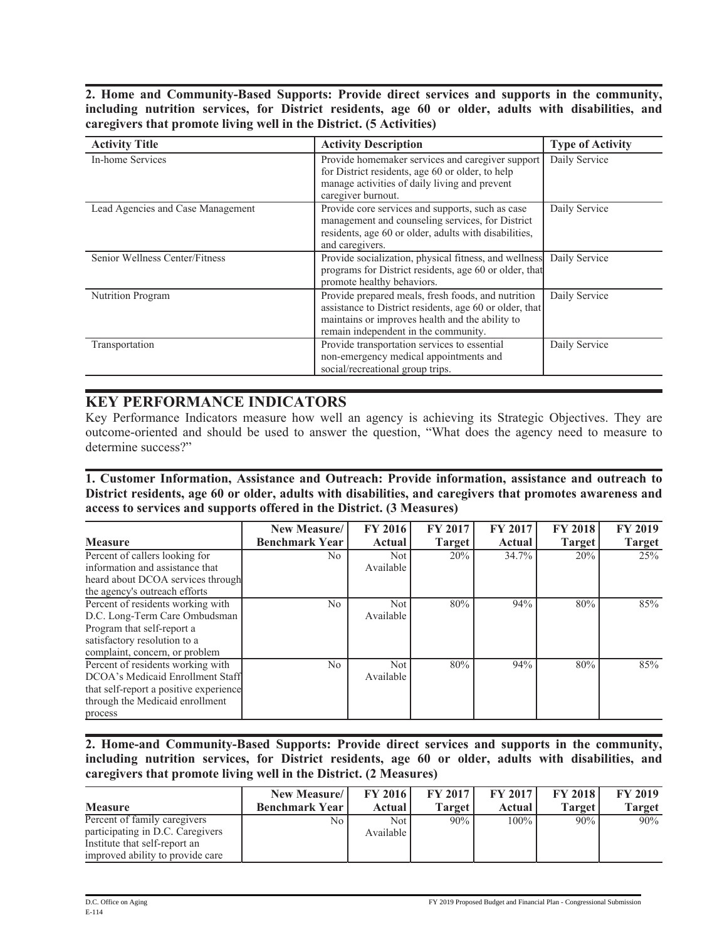2. Home and Community-Based Supports: Provide direct services and supports in the community, including nutrition services, for District residents, age 60 or older, adults with disabilities, and caregivers that promote living well in the District. (5 Activities)

| <b>Activity Title</b>             | <b>Activity Description</b>                                                                                                                                                                              | <b>Type of Activity</b> |
|-----------------------------------|----------------------------------------------------------------------------------------------------------------------------------------------------------------------------------------------------------|-------------------------|
| In-home Services                  | Provide homemaker services and caregiver support<br>for District residents, age 60 or older, to help<br>manage activities of daily living and prevent<br>caregiver burnout.                              | Daily Service           |
| Lead Agencies and Case Management | Provide core services and supports, such as case<br>management and counseling services, for District<br>residents, age 60 or older, adults with disabilities,<br>and caregivers.                         | Daily Service           |
| Senior Wellness Center/Fitness    | Provide socialization, physical fitness, and wellness<br>programs for District residents, age 60 or older, that<br>promote healthy behaviors.                                                            | Daily Service           |
| Nutrition Program                 | Provide prepared meals, fresh foods, and nutrition<br>assistance to District residents, age 60 or older, that<br>maintains or improves health and the ability to<br>remain independent in the community. | Daily Service           |
| Transportation                    | Provide transportation services to essential<br>non-emergency medical appointments and<br>social/recreational group trips.                                                                               | Daily Service           |

# **KEY PERFORMANCE INDICATORS**

Key Performance Indicators measure how well an agency is achieving its Strategic Objectives. They are outcome-oriented and should be used to answer the question, "What does the agency need to measure to determine success?"

1. Customer Information, Assistance and Outreach: Provide information, assistance and outreach to District residents, age 60 or older, adults with disabilities, and caregivers that promotes awareness and access to services and supports offered in the District. (3 Measures)

|                                        | New Measure/          | <b>FY 2016</b> | <b>FY 2017</b> | <b>FY 2017</b> | <b>FY 2018</b> | <b>FY 2019</b> |
|----------------------------------------|-----------------------|----------------|----------------|----------------|----------------|----------------|
| <b>Measure</b>                         | <b>Benchmark Year</b> | Actual         | <b>Target</b>  | Actual         | <b>Target</b>  | <b>Target</b>  |
| Percent of callers looking for         | No.                   | <b>Not</b>     | 20%            | 34.7%          | 20%            | 25%            |
| information and assistance that        |                       | Available      |                |                |                |                |
| heard about DCOA services through      |                       |                |                |                |                |                |
| the agency's outreach efforts          |                       |                |                |                |                |                |
| Percent of residents working with      | No                    | <b>Not</b>     | 80%            | 94%            | 80%            | 85%            |
| D.C. Long-Term Care Ombudsman          |                       | Available      |                |                |                |                |
| Program that self-report a             |                       |                |                |                |                |                |
| satisfactory resolution to a           |                       |                |                |                |                |                |
| complaint, concern, or problem         |                       |                |                |                |                |                |
| Percent of residents working with      | No                    | <b>Not</b>     | 80%            | 94%            | 80%            | 85%            |
| DCOA's Medicaid Enrollment Staff       |                       | Available      |                |                |                |                |
| that self-report a positive experience |                       |                |                |                |                |                |
| through the Medicaid enrollment        |                       |                |                |                |                |                |
| process                                |                       |                |                |                |                |                |

2. Home-and Community-Based Supports: Provide direct services and supports in the community, including nutrition services, for District residents, age 60 or older, adults with disabilities, and caregivers that promote living well in the District. (2 Measures)

|                                  | New Measure           | <b>FY 2016</b>  | <b>FY 2017</b> | <b>FY 2017</b> | <b>FY 2018</b>      | <b>FY 2019</b> |
|----------------------------------|-----------------------|-----------------|----------------|----------------|---------------------|----------------|
| <b>Measure</b>                   | <b>Benchmark Year</b> | Actual <i>I</i> | <b>Target</b>  | Actual         | Target <sub>1</sub> | <b>Target</b>  |
| Percent of family caregivers     | No                    | Not             | $90\%$         | $100\%$        | 90%                 | 90%            |
| participating in D.C. Caregivers |                       | Available       |                |                |                     |                |
| Institute that self-report an    |                       |                 |                |                |                     |                |
| improved ability to provide care |                       |                 |                |                |                     |                |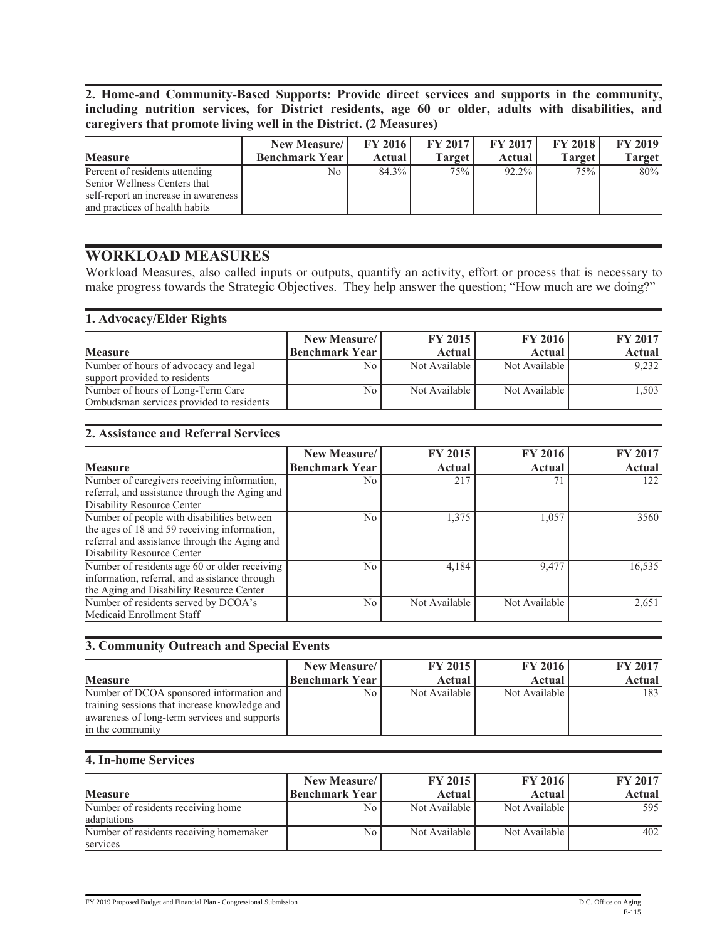2. Home-and Community-Based Supports: Provide direct services and supports in the community, including nutrition services, for District residents, age 60 or older, adults with disabilities, and caregivers that promote living well in the District. (2 Measures)

| <b>Measure</b>                                                                                                                           | New Measure           | <b>FY 2016</b> | <b>FY 2017</b> | <b>FY 2017</b> | <b>FY 2018</b> | <b>FY 2019</b> |
|------------------------------------------------------------------------------------------------------------------------------------------|-----------------------|----------------|----------------|----------------|----------------|----------------|
|                                                                                                                                          | <b>Benchmark Year</b> | Actual         | <b>Target</b>  | Actual         | Target         | <b>Target</b>  |
| Percent of residents attending<br>Senior Wellness Centers that<br>self-report an increase in awareness<br>and practices of health habits | No                    | 84.3%          | 75%            | 92.2%          | 75%            | 80%            |

# **WORKLOAD MEASURES**

Workload Measures, also called inputs or outputs, quantify an activity, effort or process that is necessary to make progress towards the Strategic Objectives. They help answer the question; "How much are we doing?"

#### 1. Advocacy/Elder Rights

| <b>Measure</b>                                                                | New Measure/<br><b>Benchmark Year</b> | <b>FY 2015</b><br><b>Actual</b> | <b>FY 2016</b><br>Actual | <b>FY 2017</b><br>Actual |
|-------------------------------------------------------------------------------|---------------------------------------|---------------------------------|--------------------------|--------------------------|
| Number of hours of advocacy and legal<br>support provided to residents        | No                                    | Not Available                   | Not Available            | 9.232                    |
| Number of hours of Long-Term Care<br>Ombudsman services provided to residents | No                                    | Not Available                   | Not Available            | 1.503                    |

# 2. Assistance and Referral Services

| <b>Measure</b>                                 | New Measure/<br><b>Benchmark Year</b> | <b>FY 2015</b><br>Actual | <b>FY 2016</b><br>Actual | <b>FY 2017</b><br>Actual |
|------------------------------------------------|---------------------------------------|--------------------------|--------------------------|--------------------------|
|                                                |                                       |                          |                          |                          |
| Number of caregivers receiving information,    | N <sub>0</sub>                        | 217                      |                          | 122                      |
| referral, and assistance through the Aging and |                                       |                          |                          |                          |
| Disability Resource Center                     |                                       |                          |                          |                          |
| Number of people with disabilities between     | No                                    | 1,375                    | 1,057                    | 3560                     |
| the ages of 18 and 59 receiving information,   |                                       |                          |                          |                          |
| referral and assistance through the Aging and  |                                       |                          |                          |                          |
| Disability Resource Center                     |                                       |                          |                          |                          |
| Number of residents age 60 or older receiving  | N <sub>0</sub>                        | 4,184                    | 9,477                    | 16,535                   |
| information, referral, and assistance through  |                                       |                          |                          |                          |
| the Aging and Disability Resource Center       |                                       |                          |                          |                          |
| Number of residents served by DCOA's           | No                                    | Not Available            | Not Available            | 2,651                    |
| Medicaid Enrollment Staff                      |                                       |                          |                          |                          |

# 3. Community Outreach and Special Events

|                                                                                                                                                               | New Measure/   | <b>FY 2015</b> | <b>FY 2016</b>      | <b>FY 2017</b> |
|---------------------------------------------------------------------------------------------------------------------------------------------------------------|----------------|----------------|---------------------|----------------|
| <b>Measure</b>                                                                                                                                                | Benchmark Year | Actual         | Actual <sup>1</sup> | Actual         |
| Number of DCOA sponsored information and<br>training sessions that increase knowledge and<br>awareness of long-term services and supports<br>in the community | N <sub>0</sub> | Not Available  | Not Available       | 183            |

#### **4. In-home Services**

|                                         | New Measure/          | <b>FY 2015</b> | <b>FY 2016</b> | <b>FY 2017</b> |
|-----------------------------------------|-----------------------|----------------|----------------|----------------|
| <b>Measure</b>                          | <b>Benchmark Year</b> | Actual         | Actual         | Actual         |
| Number of residents receiving home      | No                    | Not Available  | Not Available  | 595            |
| adaptations                             |                       |                |                |                |
| Number of residents receiving homemaker | N <sub>0</sub>        | Not Available  | Not Available  | 402            |
| services                                |                       |                |                |                |